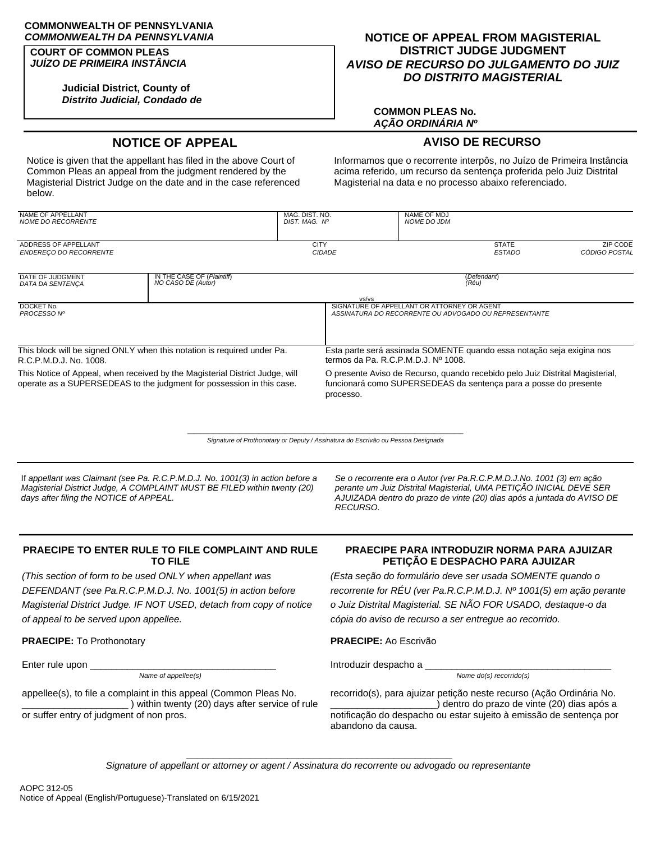# **COMMONWEALTH OF PENNSYLVANIA**

### **COURT OF COMMON PLEAS** *JUÍZO DE PRIMEIRA INSTÂNCIA*

**Judicial District, County of** *Distrito Judicial, Condado de*

# *COMMONWEALTH DA PENNSYLVANIA* **NOTICE OF APPEAL FROM MAGISTERIAL DISTRICT JUDGE JUDGMENT** *AVISO DE RECURSO DO JULGAMENTO DO JUIZ DO DISTRITO MAGISTERIAL*

## **COMMON PLEAS No.** *AÇÃO ORDINÁRIA Nº*

# **NOTICE OF APPEAL AVISO DE RECURSO**

Notice is given that the appellant has filed in the above Court of Common Pleas an appeal from the judgment rendered by the Magisterial District Judge on the date and in the case referenced below.

Informamos que o recorrente interpôs, no Juízo de Primeira Instância acima referido, um recurso da sentença proferida pelo Juiz Distrital Magisterial na data e no processo abaixo referenciado.

| <b>NAME OF APPELLANT</b><br>NOME DO RECORRENTE                                                                                                        |                                                  | MAG. DIST. NO.<br>DIST, MAG, Nº |                                                                                                                                                                | <b>NAME OF MDJ</b><br><b>NOME DO JDM</b>    |                                                       |                                  |
|-------------------------------------------------------------------------------------------------------------------------------------------------------|--------------------------------------------------|---------------------------------|----------------------------------------------------------------------------------------------------------------------------------------------------------------|---------------------------------------------|-------------------------------------------------------|----------------------------------|
| ADDRESS OF APPELLANT<br>ENDERECO DO RECORRENTE                                                                                                        |                                                  | <b>CITY</b><br><b>CIDADE</b>    |                                                                                                                                                                |                                             | <b>STATE</b><br><b>ESTADO</b>                         | <b>ZIP CODE</b><br>CÓDIGO POSTAL |
| DATE OF JUDGMENT<br>DATA DA SENTENCA                                                                                                                  | IN THE CASE OF (Plaintiff)<br>NO CASO DE (Autor) |                                 |                                                                                                                                                                | (Réu)                                       | (Defendant)                                           |                                  |
| DOCKET No.<br>PROCESSO Nº                                                                                                                             |                                                  |                                 | vs/vs                                                                                                                                                          | SIGNATURE OF APPELLANT OR ATTORNEY OR AGENT | ASSINATURA DO RECORRENTE OU ADVOGADO OU REPRESENTANTE |                                  |
|                                                                                                                                                       |                                                  |                                 |                                                                                                                                                                |                                             |                                                       |                                  |
| This block will be signed ONLY when this notation is required under Pa.<br>R.C.P.M.D.J. No. 1008.                                                     |                                                  |                                 | Esta parte será assinada SOMENTE quando essa notação seja exigina nos<br>termos da Pa. R.C.P.M.D.J. $N^{\circ}$ 1008.                                          |                                             |                                                       |                                  |
| This Notice of Appeal, when received by the Magisterial District Judge, will<br>operate as a SUPERSEDEAS to the judgment for possession in this case. |                                                  |                                 | O presente Aviso de Recurso, quando recebido pelo Juiz Distrital Magisterial,<br>funcionará como SUPERSEDEAS da sentença para a posse do presente<br>processo. |                                             |                                                       |                                  |

 $\_$  , and the set of the set of the set of the set of the set of the set of the set of the set of the set of the set of the set of the set of the set of the set of the set of the set of the set of the set of the set of th *Signature of Prothonotary or Deputy / Assinatura do Escrivão ou Pessoa Designada*

If *appellant was Claimant (see Pa. R.C.P.M.D.J. No. 1001(3) in action before a Magisterial District Judge, A COMPLAINT MUST BE FILED within twenty (20) days after filing the NOTICE of APPEAL.*

*Se o recorrente era o Autor (ver Pa.R.C.P.M.D.J.No. 1001 (3) em ação perante um Juiz Distrital Magisterial, UMA PETIÇÃO INICIAL DEVE SER AJUIZADA dentro do prazo de vinte (20) dias após a juntada do AVISO DE RECURSO.*

# **PRAECIPE TO ENTER RULE TO FILE COMPLAINT AND RULE TO FILE**

*(This section of form to be used ONLY when appellant was DEFENDANT (see Pa.R.C.P.M.D.J. No. 1001(5) in action before Magisterial District Judge. IF NOT USED, detach from copy of notice of appeal to be served upon appellee.*

**PRAECIPE:** To Prothonotary **PRAECIPE:** Ao Escrivão

Enter rule upon \_\_\_\_\_\_\_\_\_\_\_\_\_\_\_\_\_\_\_\_\_\_\_\_\_\_\_\_\_\_\_\_\_\_\_ Introduzir despacho a \_\_\_\_\_\_\_\_\_\_\_\_\_\_\_\_\_\_\_\_\_\_\_\_\_\_\_\_\_\_\_\_\_\_\_

*Name of appellee(s) Nome do(s) recorrido(s)*

appellee(s), to file a complaint in this appeal (Common Pleas No. \_\_\_\_\_\_\_\_\_\_\_\_\_\_\_\_\_\_\_\_ ) within twenty (20) days after service of rule or suffer entry of judgment of non pros.

# **PRAECIPE PARA INTRODUZIR NORMA PARA AJUIZAR PETIÇÃO E DESPACHO PARA AJUIZAR**

*(Esta seção do formulário deve ser usada SOMENTE quando o recorrente for RÉU (ver Pa.R.C.P.M.D.J. Nº 1001(5) em ação perante o Juiz Distrital Magisterial. SE NÃO FOR USADO, destaque-o da cópia do aviso de recurso a ser entregue ao recorrido.*

recorrido(s), para ajuizar petição neste recurso (Ação Ordinária No. \_\_\_\_\_\_\_\_\_\_\_\_\_\_\_\_\_\_\_\_) dentro do prazo de vinte (20) dias após a notificação do despacho ou estar sujeito à emissão de sentença por abandono da causa.

**\_\_\_\_\_\_\_\_\_\_\_\_\_\_\_\_\_\_\_\_\_\_\_\_\_\_\_\_\_\_\_\_\_\_\_\_\_\_\_\_\_\_\_\_\_\_\_\_\_\_** *Signature of appellant or attorney or agent / Assinatura do recorrente ou advogado ou representante*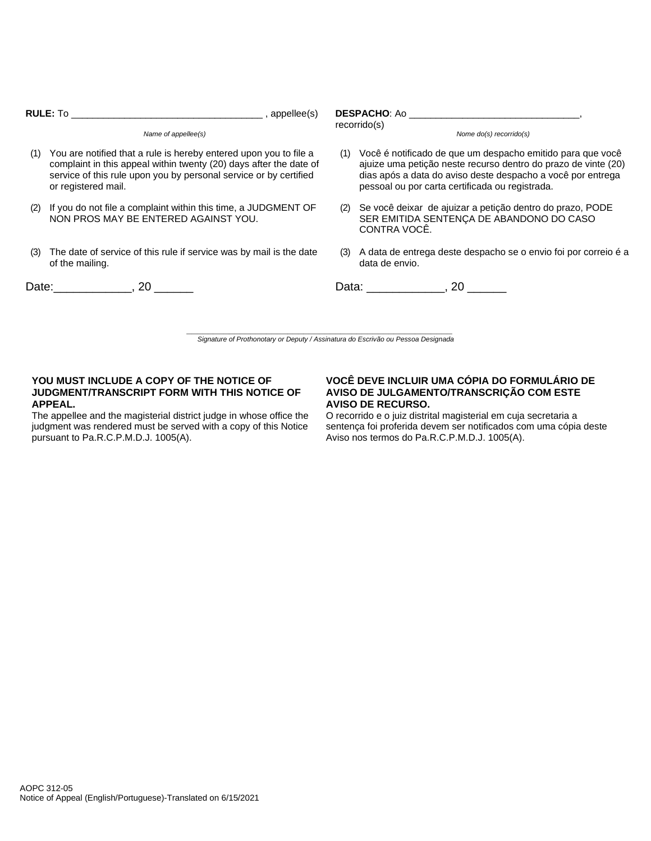|                     | <b>RULE:</b> To and the set of the set of the set of the set of the set of the set of the set of the set of the set of the set of the set of the set of the set of the set of the set of the set of the set of the set of the set o<br>$\qquad \qquad$ , appellee(s) | <b>DESPACHO:</b> Ao amin'ny faritr'i American<br>recorrido(s) |                                                                                                                                                                                                                                                    |  |  |
|---------------------|----------------------------------------------------------------------------------------------------------------------------------------------------------------------------------------------------------------------------------------------------------------------|---------------------------------------------------------------|----------------------------------------------------------------------------------------------------------------------------------------------------------------------------------------------------------------------------------------------------|--|--|
| Name of appellee(s) |                                                                                                                                                                                                                                                                      |                                                               | Nome $do(s)$ recorrido $(s)$                                                                                                                                                                                                                       |  |  |
| (1)                 | You are notified that a rule is hereby entered upon you to file a<br>complaint in this appeal within twenty (20) days after the date of<br>service of this rule upon you by personal service or by certified<br>or registered mail.                                  |                                                               | (1) Você é notificado de que um despacho emitido para que você<br>ajuize uma petição neste recurso dentro do prazo de vinte (20)<br>dias após a data do aviso deste despacho a você por entrega<br>pessoal ou por carta certificada ou registrada. |  |  |
| (2)                 | If you do not file a complaint within this time, a JUDGMENT OF<br>NON PROS MAY BE ENTERED AGAINST YOU.                                                                                                                                                               |                                                               | Se você deixar de ajuizar a petição dentro do prazo, PODE<br>(2)<br>SER EMITIDA SENTENÇA DE ABANDONO DO CASO<br>CONTRA VOCÊ.                                                                                                                       |  |  |
| (3)                 | The date of service of this rule if service was by mail is the date<br>of the mailing.                                                                                                                                                                               | (3)                                                           | A data de entrega deste despacho se o envio foi por correio é a<br>data de envio.                                                                                                                                                                  |  |  |
|                     | Date: 20                                                                                                                                                                                                                                                             |                                                               | Data: 1, 20                                                                                                                                                                                                                                        |  |  |
|                     | Signature of Prothonotary or Deputy / Assinatura do Escrivão ou Pessoa Designada                                                                                                                                                                                     |                                                               |                                                                                                                                                                                                                                                    |  |  |

## **YOU MUST INCLUDE A COPY OF THE NOTICE OF JUDGMENT/TRANSCRIPT FORM WITH THIS NOTICE OF APPEAL.**

The appellee and the magisterial district judge in whose office the judgment was rendered must be served with a copy of this Notice pursuant to Pa.R.C.P.M.D.J. 1005(A).

# **VOCÊ DEVE INCLUIR UMA CÓPIA DO FORMULÁRIO DE AVISO DE JULGAMENTO/TRANSCRIÇÃO COM ESTE AVISO DE RECURSO.**

O recorrido e o juiz distrital magisterial em cuja secretaria a sentença foi proferida devem ser notificados com uma cópia deste Aviso nos termos do Pa.R.C.P.M.D.J. 1005(A).